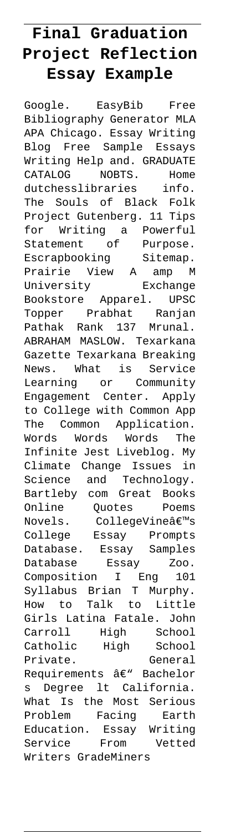## **Final Graduation Project Reflection Essay Example**

Google. EasyBib Free Bibliography Generator MLA APA Chicago. Essay Writing Blog Free Sample Essays Writing Help and. GRADUATE CATALOG NOBTS. Home dutchesslibraries info. The Souls of Black Folk Project Gutenberg. 11 Tips for Writing a Powerful Statement of Purpose. Escrapbooking Sitemap. Escrapbooking sicemar.<br>Prairie View A amp M University Exchange Bookstore Apparel. UPSC Topper Prabhat Ranjan Pathak Rank 137 Mrunal. ABRAHAM MASLOW. Texarkana Gazette Texarkana Breaking News. What is Service Learning or Community Engagement Center. Apply to College with Common App The Common Application. Words Words Words The Infinite Jest Liveblog. My Climate Change Issues in Science and Technology. Bartleby com Great Books Online Quotes Poems Novels. CollegeVine $\hat{\mathbb{a}} \in \mathbb{M}$ s College Essay Prompts Database. Essay Samples Database Essay Zoo. Composition I Eng 101 Syllabus Brian T Murphy. How to Talk to Little Girls Latina Fatale. John Carroll High School Catholic High School Private. General Requirements â€" Bachelor s Degree lt California. What Is the Most Serious Problem Facing Earth Education. Essay Writing Service From Vetted Writers GradeMiners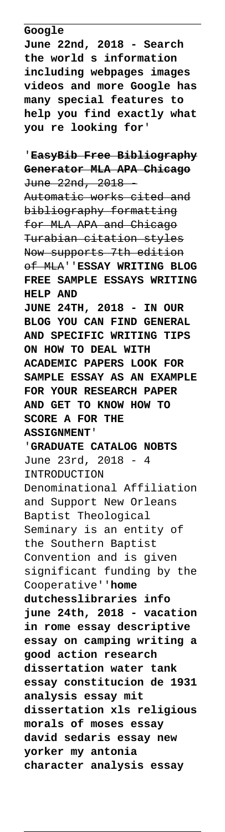**Google**

**June 22nd, 2018 - Search the world s information including webpages images videos and more Google has many special features to help you find exactly what you re looking for**'

'**EasyBib Free Bibliography Generator MLA APA Chicago** June 22nd, 2018 - Automatic works cited and bibliography formatting for MLA APA and Chicago Turabian citation styles Now supports 7th edition of MLA''**ESSAY WRITING BLOG FREE SAMPLE ESSAYS WRITING HELP AND JUNE 24TH, 2018 - IN OUR BLOG YOU CAN FIND GENERAL AND SPECIFIC WRITING TIPS ON HOW TO DEAL WITH ACADEMIC PAPERS LOOK FOR SAMPLE ESSAY AS AN EXAMPLE FOR YOUR RESEARCH PAPER AND GET TO KNOW HOW TO SCORE A FOR THE ASSIGNMENT**' '**GRADUATE CATALOG NOBTS** June 23rd, 2018 - 4 INTRODUCTION Denominational Affiliation and Support New Orleans Baptist Theological Seminary is an entity of the Southern Baptist Convention and is given significant funding by the Cooperative''**home dutchesslibraries info june 24th, 2018 - vacation in rome essay descriptive essay on camping writing a good action research dissertation water tank essay constitucion de 1931 analysis essay mit dissertation xls religious morals of moses essay david sedaris essay new yorker my antonia character analysis essay**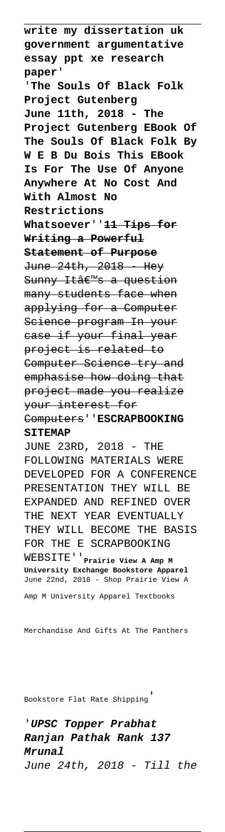**write my dissertation uk government argumentative essay ppt xe research paper**' '**The Souls Of Black Folk Project Gutenberg June 11th, 2018 - The Project Gutenberg EBook Of The Souls Of Black Folk By W E B Du Bois This EBook Is For The Use Of Anyone Anywhere At No Cost And With Almost No Restrictions Whatsoever**''**11 Tips for Writing a Powerful Statement of Purpose** June 24th, 2018 Hey Sunny Itâ€<sup>m</sup>s a question many students face when applying for a Computer Science program In your<br>case if your final year case if your final project is related to Computer Science try and emphasise how doing that project made you realize your interest for Computers''**ESCRAPBOOKING SITEMAP** JUNE 23RD, 2018 - THE FOLLOWING MATERIALS WERE DEVELOPED FOR A CONFERENCE PRESENTATION THEY WILL BE

EXPANDED AND REFINED OVER THE NEXT YEAR EVENTUALLY THEY WILL BECOME THE BASIS FOR THE E SCRAPBOOKING

WEBSITE''**Prairie View A Amp M University Exchange Bookstore Apparel** June 22nd, 2018 - Shop Prairie View A

Amp M University Apparel Textbooks

Merchandise And Gifts At The Panthers

Bookstore Flat Rate Shipping'

'**UPSC Topper Prabhat Ranjan Pathak Rank 137 Mrunal** June 24th, 2018 - Till the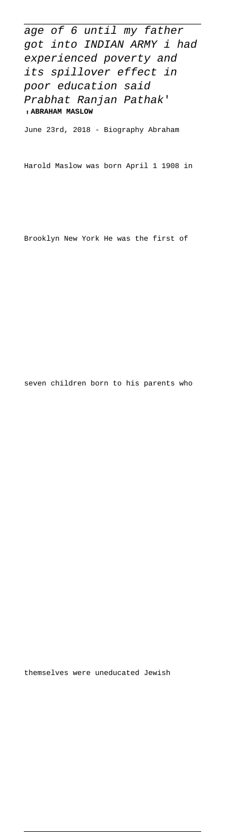age of 6 until my father got into INDIAN ARMY i had experienced poverty and its spillover effect in poor education said Prabhat Ranjan Pathak' '**ABRAHAM MASLOW**

June 23rd, 2018 - Biography Abraham

Harold Maslow was born April 1 1908 in

Brooklyn New York He was the first of

seven children born to his parents who

themselves were uneducated Jewish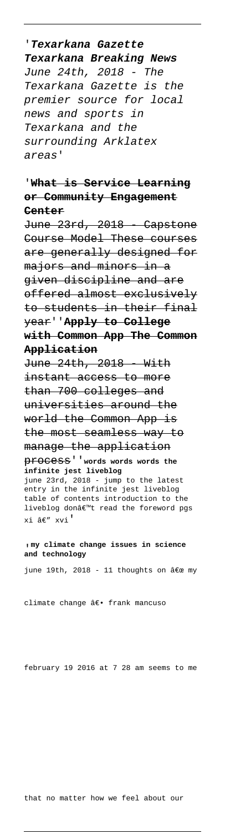## '**Texarkana Gazette Texarkana Breaking News** June 24th, 2018 - The Texarkana Gazette is the premier source for local news and sports in Texarkana and the surrounding Arklatex areas'

## '**What is Service Learning or Community Engagement Center**

June 23rd, 2018 - Capstone Course Model These courses are generally designed for majors and minors in a given discipline and are offered almost exclusively to students in their final year''**Apply to College with Common App The Common Application**

June 24th, 2018 With instant access to more than 700 colleges and universities around the world the Common App is the most seamless way to manage the application process''**words words words the infinite jest liveblog** june 23rd, 2018 - jump to the latest entry in the infinite jest liveblog table of contents introduction to the liveblog don't read the foreword pgs xi â€" xvi'

## '**my climate change issues in science and technology**

june 19th, 2018 - 11 thoughts on  $\hat{a} \in \infty$  my

climate change â€. frank mancuso

february 19 2016 at 7 28 am seems to me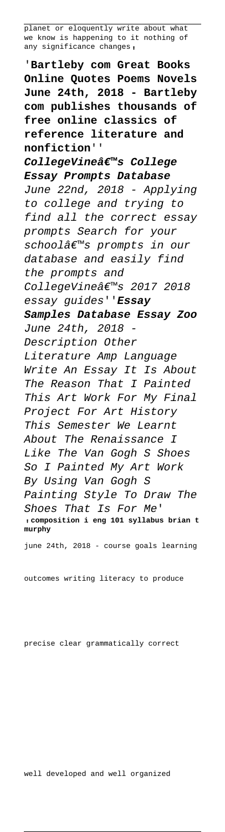planet or eloquently write about what we know is happening to it nothing of any significance changes,

'**Bartleby com Great Books Online Quotes Poems Novels June 24th, 2018 - Bartleby com publishes thousands of free online classics of reference literature and nonfiction**'' CollegeVineâ€<sup>™</sup>s College **Essay Prompts Database** June 22nd, 2018 - Applying to college and trying to find all the correct essay prompts Search for your schoolâems prompts in our database and easily find the prompts and CollegeVine's 2017 2018 essay guides''**Essay Samples Database Essay Zoo** June 24th, 2018 Description Other Literature Amp Language Write An Essay It Is About The Reason That I Painted This Art Work For My Final Project For Art History This Semester We Learnt About The Renaissance I Like The Van Gogh S Shoes So I Painted My Art Work By Using Van Gogh S Painting Style To Draw The Shoes That Is For Me' '**composition i eng 101 syllabus brian t murphy**

june 24th, 2018 - course goals learning

outcomes writing literacy to produce

precise clear grammatically correct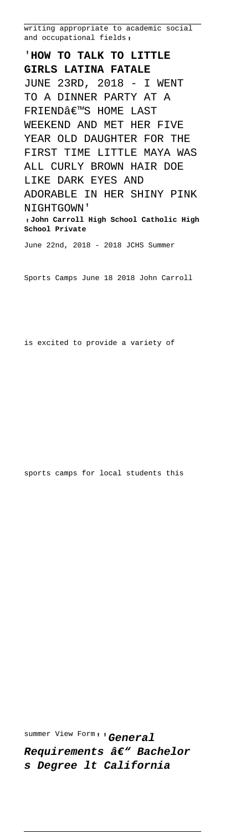writing appropriate to academic social and occupational fields<sub>'</sub>

'**HOW TO TALK TO LITTLE GIRLS LATINA FATALE** JUNE 23RD, 2018 - I WENT TO A DINNER PARTY AT A FRIEND€<sup>™</sup>S HOME LAST WEEKEND AND MET HER FIVE YEAR OLD DAUGHTER FOR THE FIRST TIME LITTLE MAYA WAS ALL CURLY BROWN HAIR DOE LIKE DARK EYES AND ADORABLE IN HER SHINY PINK NIGHTGOWN' '**John Carroll High School Catholic High School Private** June 22nd, 2018 - 2018 JCHS Summer

Sports Camps June 18 2018 John Carroll

is excited to provide a variety of

sports camps for local students this

summer View Form''**General Requirements â€" Bachelor s Degree lt California**